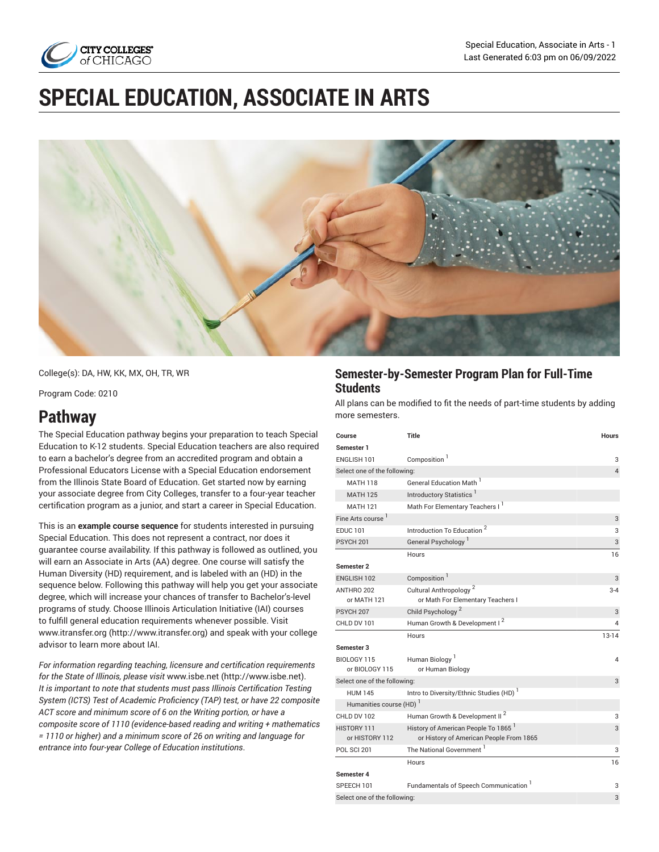

# **SPECIAL EDUCATION, ASSOCIATE IN ARTS**



College(s): DA, HW, KK, MX, OH, TR, WR

Program Code: 0210

## **Pathway**

The Special Education pathway begins your preparation to teach Special Education to K-12 students. Special Education teachers are also required to earn a bachelor's degree from an accredited program and obtain a Professional Educators License with a Special Education endorsement from the Illinois State Board of Education. Get started now by earning your associate degree from City Colleges, transfer to a four-year teacher certification program as a junior, and start a career in Special Education.

This is an **example course sequence** for students interested in pursuing Special Education. This does not represent a contract, nor does it guarantee course availability. If this pathway is followed as outlined, you will earn an Associate in Arts (AA) degree. One course will satisfy the Human Diversity (HD) requirement, and is labeled with an (HD) in the sequence below. Following this pathway will help you get your associate degree, which will increase your chances of transfer to Bachelor's-level programs of study. Choose Illinois Articulation Initiative (IAI) courses to fulfill general education requirements whenever possible. Visit [www.itransfer.org](http://www.itransfer.org) (<http://www.itransfer.org>) and speak with your college advisor to learn more about IAI.

*For information regarding teaching, licensure and certification requirements for the State of Illinois, please visit* [www.isbe.net \(http://www.isbe.net\)](http://www.isbe.net). *It is important to note that students must pass Illinois Certification Testing System (ICTS) Test of Academic Proficiency (TAP) test, or have 22 composite ACT score and minimum score of 6 on the Writing portion, or have a composite score of 1110 (evidence-based reading and writing + mathematics = 1110 or higher) and a minimum score of 26 on writing and language for entrance into four-year College of Education institutions*.

### **Semester-by-Semester Program Plan for Full-Time Students**

All plans can be modified to fit the needs of part-time students by adding more semesters.

| Course                              | <b>Title</b>                                                                               | <b>Hours</b> |  |
|-------------------------------------|--------------------------------------------------------------------------------------------|--------------|--|
| Semester 1                          |                                                                                            |              |  |
| ENGLISH 101                         | Composition <sup>1</sup>                                                                   | 3            |  |
| Select one of the following:        | $\overline{4}$                                                                             |              |  |
| <b>MATH 118</b>                     | General Education Math <sup>1</sup>                                                        |              |  |
| <b>MATH 125</b>                     | Introductory Statistics                                                                    |              |  |
| <b>MATH 121</b>                     | Math For Elementary Teachers I <sup>1</sup>                                                |              |  |
| Fine Arts course <sup>1</sup>       |                                                                                            | 3            |  |
| <b>EDUC 101</b>                     | Introduction To Education <sup>2</sup>                                                     | 3            |  |
| PSYCH <sub>201</sub>                | General Psychology <sup>1</sup>                                                            | 3            |  |
|                                     | Hours                                                                                      | 16           |  |
| Semester <sub>2</sub>               |                                                                                            |              |  |
| ENGLISH 102                         | Composition <sup>1</sup>                                                                   | 3            |  |
| ANTHRO 202                          | Cultural Anthropology <sup>2</sup>                                                         | $3 - 4$      |  |
| or MATH 121                         | or Math For Elementary Teachers I                                                          |              |  |
| PSYCH 207                           | Child Psychology <sup>2</sup>                                                              | 3            |  |
| CHLD DV 101                         | Human Growth & Development I <sup>2</sup>                                                  | 4            |  |
|                                     | Hours                                                                                      | $13-14$      |  |
| Semester 3                          |                                                                                            |              |  |
| BIOLOGY 115                         | Human Biology <sup>1</sup>                                                                 | 4            |  |
| or BIOLOGY 115                      | or Human Biology                                                                           |              |  |
| 3<br>Select one of the following:   |                                                                                            |              |  |
| <b>HUM 145</b>                      | Intro to Diversity/Ethnic Studies (HD)                                                     |              |  |
| Humanities course (HD) <sup>1</sup> |                                                                                            |              |  |
| CHLD DV 102                         | Human Growth & Development II <sup>2</sup>                                                 | 3            |  |
| HISTORY 111<br>or HISTORY 112       | History of American People To 1865 <sup>1</sup><br>or History of American People From 1865 | 3            |  |
| <b>POL SCI 201</b>                  | The National Government                                                                    | 3            |  |
|                                     | Hours                                                                                      | 16           |  |
| Semester 4                          |                                                                                            |              |  |
| SPEECH 101                          | Fundamentals of Speech Communication                                                       | 3            |  |
| Select one of the following:        |                                                                                            | 3            |  |